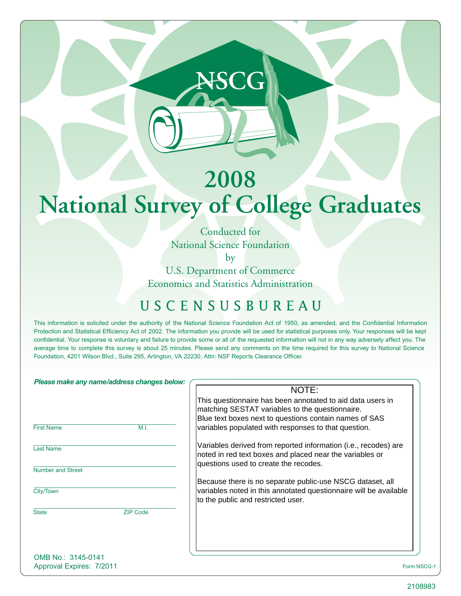# **2008 National Survey of College Graduates**

**NSCG**

Conducted for National Science Foundation

by

U.S. Department of Commerce Economics and Statistics Administration

### USCENSUSBUREAU

This information is solicited under the authority of the National Science Foundation Act of 1950, as amended, and the Confidential Information Protection and Statistical Efficiency Act of 2002. The information you provide will be used for statistical purposes only. Your responses will be kept confidential. Your response is voluntary and failure to provide some or all of the requested information will not in any way adversely affect you. The average time to complete this survey is about 25 minutes. Please send any comments on the time required for this survey to National Science Foundation, 4201 Wilson Blvd., Suite 295, Arlington, VA 22230, Attn: NSF Reports Clearance Officer.

| Please make any name/address changes below: |                 |                                                                                                         |
|---------------------------------------------|-----------------|---------------------------------------------------------------------------------------------------------|
|                                             |                 | NOTE:                                                                                                   |
|                                             |                 | This questionnaire has been annotated to aid data users in                                              |
|                                             |                 | matching SESTAT variables to the questionnaire.                                                         |
|                                             |                 | Blue text boxes next to questions contain names of SAS                                                  |
| <b>First Name</b>                           | M.I.            | variables populated with responses to that question.                                                    |
| <b>Last Name</b>                            |                 | Variables derived from reported information (i.e., recodes) are                                         |
|                                             |                 | noted in red text boxes and placed near the variables or                                                |
| <b>Number and Street</b>                    |                 | questions used to create the recodes.                                                                   |
|                                             |                 | Because there is no separate public-use NSCG dataset, all                                               |
| City/Town                                   |                 | variables noted in this annotated questionnaire will be available<br>to the public and restricted user. |
| <b>State</b>                                | <b>ZIP Code</b> |                                                                                                         |
|                                             |                 |                                                                                                         |
|                                             |                 |                                                                                                         |
|                                             |                 |                                                                                                         |
| OMB No.: 3145-0141                          |                 |                                                                                                         |
| Approval Expires: 7/2011                    |                 | Form NSCG-1                                                                                             |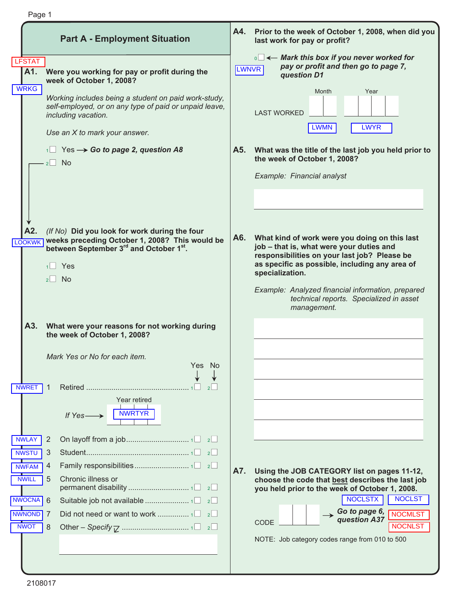|                                      | Page 1                                                                                                                                |              |                                                                                                             |
|--------------------------------------|---------------------------------------------------------------------------------------------------------------------------------------|--------------|-------------------------------------------------------------------------------------------------------------|
|                                      | <b>Part A - Employment Situation</b>                                                                                                  | A4.          | Prior to the week of October 1, 2008, when did you<br>last work for pay or profit?                          |
| <b>LFSTAT</b><br>A1.<br><b>WRKG</b>  | Were you working for pay or profit during the<br>week of October 1, 2008?                                                             | <b>LWNVR</b> | $\sim$ Mark this box if you never worked for<br>pay or profit and then go to page 7,<br>question D1         |
|                                      | Working includes being a student on paid work-study,<br>self-employed, or on any type of paid or unpaid leave,<br>including vacation. |              | Year<br>Month<br><b>LAST WORKED</b>                                                                         |
|                                      | Use an X to mark your answer.                                                                                                         |              | <b>LWMN</b><br><b>LWYR</b>                                                                                  |
|                                      | $\sim$ 1 Yes $\rightarrow$ Go to page 2, question A8<br>$2$ No                                                                        | A5.          | What was the title of the last job you held prior to<br>the week of October 1, 2008?                        |
|                                      |                                                                                                                                       |              | Example: Financial analyst                                                                                  |
|                                      |                                                                                                                                       |              |                                                                                                             |
|                                      |                                                                                                                                       |              |                                                                                                             |
| A2.                                  | (If No) Did you look for work during the four                                                                                         | A6.          | What kind of work were you doing on this last                                                               |
| <b>LOOKWK</b>                        | weeks preceding October 1, 2008? This would be<br>between September 3rd and October 1st.                                              |              | job - that is, what were your duties and<br>responsibilities on your last job? Please be                    |
|                                      | Yes                                                                                                                                   |              | as specific as possible, including any area of<br>specialization.                                           |
|                                      | No.<br>2 <sup>1</sup>                                                                                                                 |              |                                                                                                             |
|                                      |                                                                                                                                       |              | Example: Analyzed financial information, prepared<br>technical reports. Specialized in asset<br>management. |
| A3.                                  | What were your reasons for not working during<br>the week of October 1, 2008?                                                         |              |                                                                                                             |
|                                      | Mark Yes or No for each item.                                                                                                         |              |                                                                                                             |
|                                      | Yes No                                                                                                                                |              |                                                                                                             |
| <b>NWRET</b>                         | 1<br>2                                                                                                                                |              |                                                                                                             |
|                                      | Year retired<br>NWRTYR<br>If Yes-                                                                                                     |              |                                                                                                             |
|                                      |                                                                                                                                       |              |                                                                                                             |
| <b>NWLAY</b>                         | 2                                                                                                                                     |              |                                                                                                             |
| <b>NWSTU</b>                         | 3<br>$2^{\square}$                                                                                                                    |              |                                                                                                             |
| <b>NWFAM</b><br><b>NWILL</b>         | 4<br>5<br>Chronic illness or                                                                                                          | A7.          | Using the JOB CATEGORY list on pages 11-12,<br>choose the code that best describes the last job             |
|                                      | $2$                                                                                                                                   |              | you held prior to the week of October 1, 2008.                                                              |
| <b>NWOCNA</b>                        | 6<br>2                                                                                                                                |              | NOCLSTX<br><b>NOCLST</b>                                                                                    |
| NWNOND <sup>1</sup> 7<br><b>NWOT</b> | 2 <br>8                                                                                                                               |              | Go to page 6,<br>question A37<br><b>NOCMLST</b><br>CODE<br><b>NOCNLST</b>                                   |
|                                      |                                                                                                                                       |              | NOTE: Job category codes range from 010 to 500                                                              |
|                                      |                                                                                                                                       |              |                                                                                                             |
|                                      |                                                                                                                                       |              |                                                                                                             |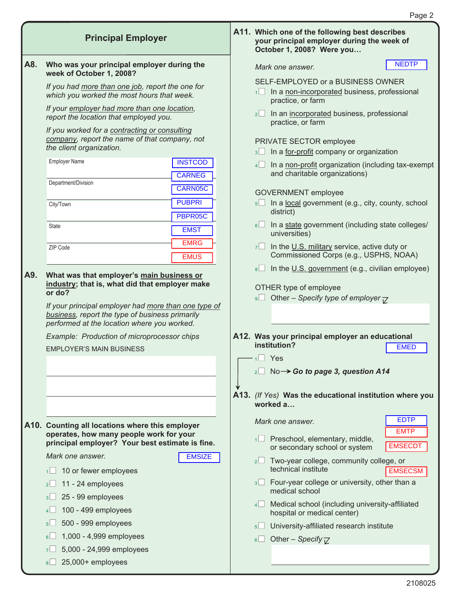**A11. Which one of the following best describes your principal employer during the week of** 

**October 1, 2008? Were you...** 

| A8. | Who was your principal employer during the<br>week of October 1, 2008?                                                                                 | Mark one answer.                                                                                                   | <b>NEDTP</b>               |
|-----|--------------------------------------------------------------------------------------------------------------------------------------------------------|--------------------------------------------------------------------------------------------------------------------|----------------------------|
|     | If you had more than one job, report the one for<br>which you worked the most hours that week.                                                         | SELF-EMPLOYED or a BUSINESS OWNER<br>In a non-incorporated business, professional<br>$1 \Box$<br>practice, or farm |                            |
|     | If your employer had more than one location,<br>report the location that employed you.                                                                 | 2 In an incorporated business, professional<br>practice, or farm                                                   |                            |
|     | If you worked for a contracting or consulting<br>company, report the name of that company, not<br>the client organization.                             | PRIVATE SECTOR employee<br>In a for-profit company or organization<br>3                                            |                            |
|     | <b>Employer Name</b><br><b>INSTCOD</b><br><b>CARNEG</b>                                                                                                | In a non-profit organization (including tax-exempt<br>4<br>and charitable organizations)                           |                            |
|     | Department/Division<br>CARN05C                                                                                                                         | <b>GOVERNMENT</b> employee                                                                                         |                            |
|     | <b>PUBPRI</b><br>City/Town<br>PBPR05C                                                                                                                  | 5 In a local government (e.g., city, county, school<br>district)                                                   |                            |
|     | <b>State</b><br><b>EMST</b>                                                                                                                            | In a state government (including state colleges/<br>$6 \Box$<br>universities)                                      |                            |
|     | <b>EMRG</b><br>ZIP Code<br><b>EMUS</b>                                                                                                                 | $7\Box$ In the U.S. military service, active duty or<br>Commissioned Corps (e.g., USPHS, NOAA)                     |                            |
| A9. | What was that employer's main business or<br>industry; that is, what did that employer make                                                            | In the U.S. government (e.g., civilian employee)<br>8                                                              |                            |
|     | or do?                                                                                                                                                 | OTHER type of employee<br>9□ Other – Specify type of employer $\overline{V}$                                       |                            |
|     | If your principal employer had more than one type of<br>business, report the type of business primarily<br>performed at the location where you worked. |                                                                                                                    |                            |
|     | Example: Production of microprocessor chips                                                                                                            | A12. Was your principal employer an educational                                                                    |                            |
|     | <b>EMPLOYER'S MAIN BUSINESS</b>                                                                                                                        | institution?                                                                                                       | <b>EMED</b>                |
|     |                                                                                                                                                        | $1 \square$ Yes                                                                                                    |                            |
|     |                                                                                                                                                        | $_2\square$ No $\rightarrow$ Go to page 3, question A14                                                            |                            |
|     |                                                                                                                                                        | A13. (If Yes) Was the educational institution where you<br>worked a                                                |                            |
|     | A10. Counting all locations where this employer                                                                                                        | Mark one answer.                                                                                                   | <b>EDTP</b><br><b>EMTP</b> |
|     | operates, how many people work for your<br>principal employer? Your best estimate is fine.                                                             | Preschool, elementary, middle,<br>1<br>or secondary school or system                                               | <b>EMSECDT</b>             |
|     | Mark one answer.<br><b>EMSIZE</b><br>10 or fewer employees<br>1                                                                                        | Two-year college, community college, or<br>2<br>technical institute                                                | <b>EMSECSM</b>             |
|     | 11 - 24 employees<br>2 <sup>2</sup>                                                                                                                    | Four-year college or university, other than a<br>3<br>medical school                                               |                            |
|     | 25 - 99 employees<br>3 <sup>2</sup><br>100 - 499 employees<br>4                                                                                        | Medical school (including university-affiliated<br>4<br>hospital or medical center)                                |                            |
|     | 500 - 999 employees<br>5 <sup>1</sup>                                                                                                                  | University-affiliated research institute<br>$5\Box$                                                                |                            |
|     | 1,000 - 4,999 employees<br>$6+$                                                                                                                        | Other – Specify $\nabla$<br>6                                                                                      |                            |
|     | 5,000 - 24,999 employees<br>7 <sup>°</sup>                                                                                                             |                                                                                                                    |                            |
|     | 25,000+ employees<br>8 <sup>2</sup>                                                                                                                    |                                                                                                                    |                            |
|     |                                                                                                                                                        |                                                                                                                    |                            |

**Principal Employer**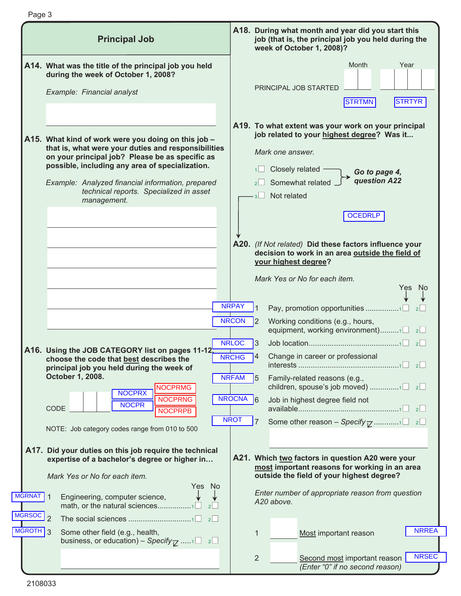|                                | <b>Principal Job</b>                                                                                                                                                                                                                                                                                                            | A18. During what month and year did you start this<br>job (that is, the principal job you held during the<br>week of October 1, 2008)?                                                                                                                                                                        |
|--------------------------------|---------------------------------------------------------------------------------------------------------------------------------------------------------------------------------------------------------------------------------------------------------------------------------------------------------------------------------|---------------------------------------------------------------------------------------------------------------------------------------------------------------------------------------------------------------------------------------------------------------------------------------------------------------|
|                                | A14. What was the title of the principal job you held<br>during the week of October 1, 2008?<br>Example: Financial analyst                                                                                                                                                                                                      | Month<br>Year<br>PRINCIPAL JOB STARTED<br><b>STRTYR</b><br>STRTMN                                                                                                                                                                                                                                             |
|                                | A15. What kind of work were you doing on this job -<br>that is, what were your duties and responsibilities<br>on your principal job? Please be as specific as<br>possible, including any area of specialization.<br>Example: Analyzed financial information, prepared<br>technical reports. Specialized in asset<br>management. | A19. To what extent was your work on your principal<br>job related to your highest degree? Was it<br>Mark one answer.<br>Closely related<br>1 <sup>1</sup><br>Go to page 4,<br>question A22<br>Somewhat related<br>2 <sup>1</sup><br>3 <sup>1</sup> Not related<br><b>OCEDRLP</b>                             |
|                                |                                                                                                                                                                                                                                                                                                                                 | A20. (If Not related) Did these factors influence your<br>decision to work in an area outside the field of<br>your highest degree?<br>Mark Yes or No for each item.<br>Yes<br>No.<br><b>NRPAY</b><br>Pay, promotion opportunities 1<br>2<br><b>NRCON</b><br>Working conditions (e.g., hours,<br>$\mathsf{I}2$ |
|                                | A16. Using the JOB CATEGORY list on pages 11-12,<br>choose the code that best describes the<br>principal job you held during the week of<br>October 1, 2008.<br><b>NOCPRMG</b><br><b>NOCPRX</b><br><b>NOCPRNG</b><br><b>NOCPR</b><br>CODE<br><b>NOCPRPB</b>                                                                     | equipment, working environment)1<br>$\vert$ 2 $\vert$<br><b>NRLOC</b><br>I3<br>$\vert$ 2 $\vert$<br>Change in career or professional<br><b>NRCHG</b><br><b>NRFAM</b><br>Family-related reasons (e.g.,<br>5<br>NROCNA 6<br>Job in highest degree field not<br><b>NROT</b>                                      |
| <b>MGRNAT</b><br><b>MGRSOC</b> | NOTE: Job category codes range from 010 to 500<br>A17. Did your duties on this job require the technical<br>expertise of a bachelor's degree or higher in<br>Mark Yes or No for each item.<br>Yes No<br>Engineering, computer science,<br>math, or the natural sciences1<br>$\left  \frac{2}{2} \right $<br>$\overline{2}$      | Some other reason - Specify $\overline{V}$ 1 2<br>7<br>A21. Which two factors in question A20 were your<br>most important reasons for working in an area<br>outside the field of your highest degree?<br>Enter number of appropriate reason from question<br>A20 above.                                       |
| MGROTH 3                       | Some other field (e.g., health,<br>business, or education) – Specify $\overline{V}$ 1 2                                                                                                                                                                                                                                         | <b>NRREA</b><br>$\mathbf{1}$<br>Most important reason<br><b>NRSEC</b><br>$\overline{2}$<br>Second most important reason<br>(Enter "0" if no second reason)                                                                                                                                                    |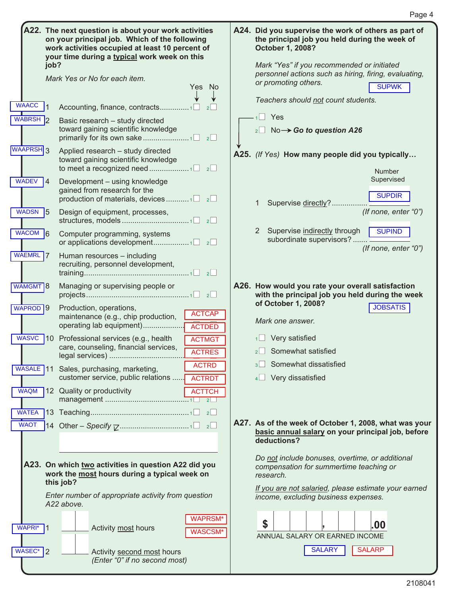|                                                                                                       | A22. The next question is about your work activities<br>on your principal job. Which of the following<br>work activities occupied at least 10 percent of<br>your time during a typical work week on this<br>job?                                                                                                                                                                                                                                          | A24. Did you supervise the work of others as part of<br>the principal job you held during the week of<br>October 1, 2008?<br>Mark "Yes" if you recommended or initiated<br>personnel actions such as hiring, firing, evaluating,                                                                                                                                                                       |
|-------------------------------------------------------------------------------------------------------|-----------------------------------------------------------------------------------------------------------------------------------------------------------------------------------------------------------------------------------------------------------------------------------------------------------------------------------------------------------------------------------------------------------------------------------------------------------|--------------------------------------------------------------------------------------------------------------------------------------------------------------------------------------------------------------------------------------------------------------------------------------------------------------------------------------------------------------------------------------------------------|
|                                                                                                       | Mark Yes or No for each item.<br>Yes No                                                                                                                                                                                                                                                                                                                                                                                                                   | or promoting others.<br><b>SUPWK</b>                                                                                                                                                                                                                                                                                                                                                                   |
| <b>WAACC</b><br><b>WABRSH</b><br>WAAPRSH <sub>3</sub>                                                 | Accounting, finance, contracts1<br>2<br>Basic research - study directed<br>toward gaining scientific knowledge<br>Applied research - study directed<br>toward gaining scientific knowledge                                                                                                                                                                                                                                                                | Teachers should not count students.<br>$1 \square$ Yes<br>$_2$ No $\rightarrow$ Go to question A26<br>A25. (If Yes) How many people did you typically<br><b>Number</b>                                                                                                                                                                                                                                 |
| <b>WADEV</b><br>$\overline{14}$<br>WADSN <sub>5</sub><br>WACOM 6<br>WAEMRL 7                          | Development - using knowledge<br>gained from research for the<br>production of materials, devices $1 \Box$ $2 \Box$<br>Design of equipment, processes,<br>Computer programming, systems<br>Human resources - including<br>recruiting, personnel development,                                                                                                                                                                                              | Supervised<br><b>SUPDIR</b><br>Supervise directly?<br>1<br>(If none, enter "0")<br>2 Supervise indirectly through<br><b>SUPIND</b><br>subordinate supervisors?<br>(If none, enter "0")                                                                                                                                                                                                                 |
| WAMGMT <sup>8</sup><br>WAPROD <sup>19</sup><br>WASVC 10<br><b>WAQM</b><br><b>WATEA</b><br><b>WAOT</b> | Managing or supervising people or<br>Production, operations,<br><b>ACTCAP</b><br>maintenance (e.g., chip production,<br>operating lab equipment)<br><b>ACTDED</b><br>Professional services (e.g., health<br><b>ACTMGT</b><br>care, counseling, financial services,<br><b>ACTRES</b><br><b>ACTRD</b><br>WASALE 11 Sales, purchasing, marketing,<br>customer service, public relations<br><b>ACTRDT</b><br>12 Quality or productivity<br><b>ACTTCH</b><br>2 | A26. How would you rate your overall satisfaction<br>with the principal job you held during the week<br>of October 1, 2008?<br><b>JOBSATIS</b><br>Mark one answer.<br>Very satisfied<br>Somewhat satisfied<br>$2$  <br>Somewhat dissatisfied<br>$3+$<br>Very dissatisfied<br>A27. As of the week of October 1, 2008, what was your<br>basic annual salary on your principal job, before<br>deductions? |
| WAPRI <sup>*</sup> 1<br>WASEC* 2                                                                      | A23. On which two activities in question A22 did you<br>work the most hours during a typical week on<br>this job?<br>Enter number of appropriate activity from question<br>A22 above.<br><b>WAPRSM*</b><br>Activity most hours<br><b>WASCSM</b><br>Activity second most hours<br>(Enter "0" if no second most)                                                                                                                                            | Do not include bonuses, overtime, or additional<br>compensation for summertime teaching or<br>research.<br>If you are not salaried, please estimate your earned<br>income, excluding business expenses.<br>\$<br>.00<br>ANNUAL SALARY OR EARNED INCOME<br><b>SALARY</b><br><b>SALARP</b>                                                                                                               |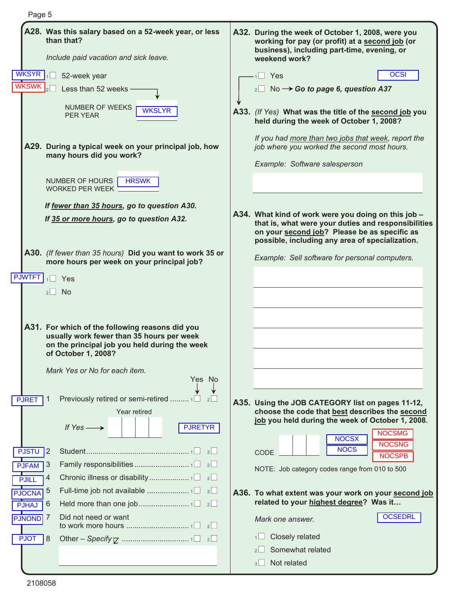| Page 5          |                                                                                                              |                                                                                                                                                                                                               |
|-----------------|--------------------------------------------------------------------------------------------------------------|---------------------------------------------------------------------------------------------------------------------------------------------------------------------------------------------------------------|
|                 | A28. Was this salary based on a 52-week year, or less<br>than that?<br>Include paid vacation and sick leave. | A32. During the week of October 1, 2008, were you<br>working for pay (or profit) at a second job (or<br>business), including part-time, evening, or<br>weekend work?                                          |
| <b>WKSYR</b>    | 52-week year                                                                                                 | <b>OCSI</b><br>$1 \square$ Yes                                                                                                                                                                                |
| <b>WKSWK</b>    | Less than 52 weeks                                                                                           | $_2\square$ No $\rightarrow$ Go to page 6, question A37                                                                                                                                                       |
|                 |                                                                                                              |                                                                                                                                                                                                               |
|                 | NUMBER OF WEEKS<br><b>WKSLYR</b><br><b>PER YEAR</b>                                                          | A33. (If Yes) What was the title of the second job you<br>held during the week of October 1, 2008?                                                                                                            |
|                 | A29. During a typical week on your principal job, how<br>many hours did you work?                            | If you had more than two jobs that week, report the<br>job where you worked the second most hours.<br>Example: Software salesperson                                                                           |
|                 | <b>NUMBER OF HOURS</b><br><b>HRSWK</b><br><b>WORKED PER WEEK</b>                                             |                                                                                                                                                                                                               |
|                 | If fewer than 35 hours, go to question A30.                                                                  |                                                                                                                                                                                                               |
|                 | If 35 or more hours, go to question A32.                                                                     | A34. What kind of work were you doing on this job -<br>that is, what were your duties and responsibilities<br>on your second job? Please be as specific as<br>possible, including any area of specialization. |
|                 | A30. (If fewer than 35 hours) Did you want to work 35 or<br>more hours per week on your principal job?       | Example: Sell software for personal computers.                                                                                                                                                                |
| <b>PJWTFT</b>   | Yes                                                                                                          |                                                                                                                                                                                                               |
|                 | <b>No</b><br>2                                                                                               |                                                                                                                                                                                                               |
|                 | A31. For which of the following reasons did you<br>usually work fewer than 35 hours per week                 |                                                                                                                                                                                                               |
|                 | on the principal job you held during the week<br>of October 1, 2008?                                         |                                                                                                                                                                                                               |
|                 | Mark Yes or No for each item.                                                                                |                                                                                                                                                                                                               |
|                 | Yes No                                                                                                       |                                                                                                                                                                                                               |
| <b>PJRET</b>    | Previously retired or semi-retired  1□<br>2<br>-1                                                            | A35. Using the JOB CATEGORY list on pages 11-12,                                                                                                                                                              |
|                 | Year retired                                                                                                 | choose the code that best describes the second<br>job you held during the week of October 1, 2008.                                                                                                            |
|                 | <b>PJRETYR</b><br>If $Yes \longrightarrow$                                                                   | <b>NOCSMG</b>                                                                                                                                                                                                 |
| <b>PJSTU</b>    | $\overline{1}2$<br>2                                                                                         | <b>NOCSX</b><br><b>NOCSNG</b><br><b>NOCS</b><br>CODE                                                                                                                                                          |
| <b>PJFAM</b>    | 3<br>2                                                                                                       | <b>NOCSPB</b>                                                                                                                                                                                                 |
| <b>PJILL</b>    | 4<br>2                                                                                                       | NOTE: Job category codes range from 010 to 500                                                                                                                                                                |
| <b>PJOCNA</b>   | 5<br>2                                                                                                       | A36. To what extent was your work on your second job                                                                                                                                                          |
| <b>PJHAJ</b>    | 6                                                                                                            | related to your highest degree? Was it                                                                                                                                                                        |
| <b>PJNOND</b> 7 | Did not need or want<br>2                                                                                    | <b>OCSEDRL</b><br>Mark one answer.                                                                                                                                                                            |
| <b>PJOT</b>     | 8                                                                                                            | Closely related                                                                                                                                                                                               |
|                 |                                                                                                              | Somewhat related<br>2 <sup>1</sup>                                                                                                                                                                            |
|                 |                                                                                                              | Not related<br>$3\perp$                                                                                                                                                                                       |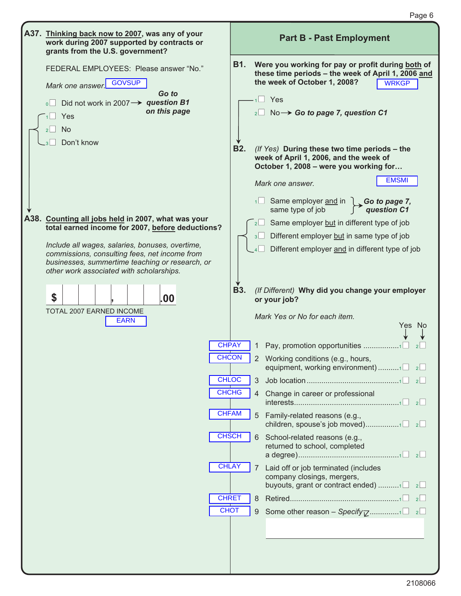| A37. Thinking back now to 2007, was any of your<br>work during 2007 supported by contracts or<br>grants from the U.S. government?                                                                           |                   |                | <b>Part B - Past Employment</b>                                                                                                                                                                                                                                                                                           |
|-------------------------------------------------------------------------------------------------------------------------------------------------------------------------------------------------------------|-------------------|----------------|---------------------------------------------------------------------------------------------------------------------------------------------------------------------------------------------------------------------------------------------------------------------------------------------------------------------------|
| FEDERAL EMPLOYEES: Please answer "No."<br>Mark one answer. GOVSUP<br>Go to<br>Did not work in 2007 $\rightarrow$ question B1<br>on this page<br>Yes<br><b>No</b><br>$2$    <br>Don't know<br>$-3$           | B1.<br><b>B2.</b> |                | Were you working for pay or profit during both of<br>these time periods - the week of April 1, 2006 and<br>the week of October 1, 2008?<br><b>WRKGP</b><br>$\Box$ Yes<br>$_2\square$ No $\rightarrow$ Go to page 7, question C1<br>(If Yes) During these two time periods - the<br>week of April 1, 2006, and the week of |
| A38. Counting all jobs held in 2007, what was your<br>total earned income for 2007, before deductions?                                                                                                      |                   | 2 <sub>l</sub> | October 1, 2008 - were you working for<br><b>EMSMI</b><br>Mark one answer.<br>$\overline{\phantom{a}}$ Same employer and in $\overline{\phantom{a}}$ Go to page 7,<br>same type of job<br>question C1<br>Same employer but in different type of job                                                                       |
| Include all wages, salaries, bonuses, overtime,<br>commissions, consulting fees, net income from<br>businesses, summertime teaching or research, or<br>other work associated with scholarships.<br>\$<br>00 | <b>B3.</b>        | 3              | Different employer but in same type of job<br>Different employer and in different type of job<br>(If Different) Why did you change your employer<br>or your job?                                                                                                                                                          |
| TOTAL 2007 EARNED INCOME<br><b>EARN</b>                                                                                                                                                                     |                   |                | Mark Yes or No for each item.<br>Yes No                                                                                                                                                                                                                                                                                   |
| <b>CHPAY</b><br><b>CHCON</b>                                                                                                                                                                                |                   |                | 2 Working conditions (e.g., hours,<br>equipment, working environment)1                                                                                                                                                                                                                                                    |
| <b>CHLOC</b><br><b>CHCHG</b>                                                                                                                                                                                |                   | 3<br>4         | Change in career or professional                                                                                                                                                                                                                                                                                          |
| <b>CHFAM</b>                                                                                                                                                                                                |                   |                | 5 Family-related reasons (e.g.,                                                                                                                                                                                                                                                                                           |
| <b>CHSCH</b>                                                                                                                                                                                                |                   | 6              | School-related reasons (e.g.,<br>returned to school, completed                                                                                                                                                                                                                                                            |
| <b>CHLAY</b>                                                                                                                                                                                                |                   | 7              | Laid off or job terminated (includes<br>company closings, mergers,<br>buyouts, grant or contract ended) 1 $\Box$ 2                                                                                                                                                                                                        |
| <b>CHRET</b><br><b>CHOT</b>                                                                                                                                                                                 |                   | 8<br>9         | $\vert$ 2                                                                                                                                                                                                                                                                                                                 |
|                                                                                                                                                                                                             |                   |                |                                                                                                                                                                                                                                                                                                                           |

Page 6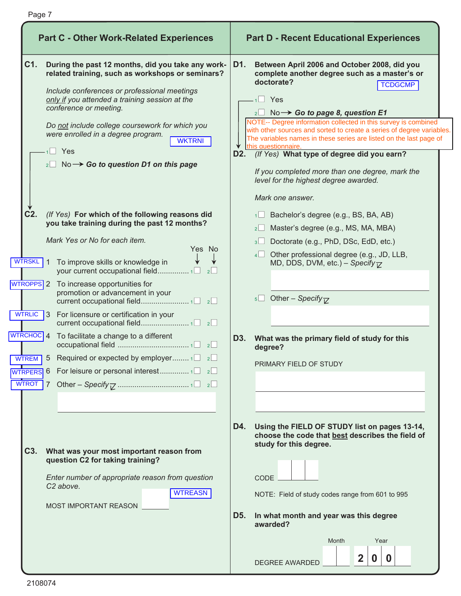| <b>Part C - Other Work-Related Experiences</b>                                                                                                                                                                                                                                                                                                                                                                                                                                                                                                                        | <b>Part D - Recent Educational Experiences</b>                                                                                                                                                                                                                                                                                                                                                                                                                                                                                                                                                                                                                                                                                                                               |
|-----------------------------------------------------------------------------------------------------------------------------------------------------------------------------------------------------------------------------------------------------------------------------------------------------------------------------------------------------------------------------------------------------------------------------------------------------------------------------------------------------------------------------------------------------------------------|------------------------------------------------------------------------------------------------------------------------------------------------------------------------------------------------------------------------------------------------------------------------------------------------------------------------------------------------------------------------------------------------------------------------------------------------------------------------------------------------------------------------------------------------------------------------------------------------------------------------------------------------------------------------------------------------------------------------------------------------------------------------------|
| C1.<br>During the past 12 months, did you take any work-<br>related training, such as workshops or seminars?<br>Include conferences or professional meetings<br>only if you attended a training session at the<br>conference or meeting.<br>Do not include college coursework for which you<br>were enrolled in a degree program.<br><b>WKTRNI</b><br>$1$ Yes<br>$_{2}$ No $\rightarrow$ Go to question D1 on this page<br>$C2$ .<br>(If Yes) For which of the following reasons did<br>you take training during the past 12 months?<br>Mark Yes or No for each item. | D1.<br>Between April 2006 and October 2008, did you<br>complete another degree such as a master's or<br>doctorate?<br><b>TCDGCMP</b><br>$1 \square$ Yes<br>$_2\Box$ No $\rightarrow$ Go to page 8, question E1<br>NOTE-- Degree information collected in this survey is combined<br>with other sources and sorted to create a series of degree variables.<br>The variables names in these series are listed on the last page of<br>this questionnaire.<br>(If Yes) What type of degree did you earn?<br>D2. O<br>If you completed more than one degree, mark the<br>level for the highest degree awarded.<br>Mark one answer.<br>Bachelor's degree (e.g., BS, BA, AB)<br>Master's degree (e.g., MS, MA, MBA)<br>$2 \Box$<br>Doctorate (e.g., PhD, DSc, EdD, etc.)<br>$3\Box$ |
| Yes No<br><b>WTRSKL</b><br>To improve skills or knowledge in<br>$\mathbf{1}$<br>your current occupational field 1□ 2□<br><b>WIROPPS</b> 2 To increase opportunities for<br>promotion or advancement in your<br>WTRLIC 3 For licensure or certification in your<br>$\sqrt{\text{WTRCHOC}}$ 4 To facilitate a change to a different<br><b>WIREM</b> 5 Required or expected by employer $1 \Box 2 \Box$<br><b>WTROT</b>                                                                                                                                                  | Other professional degree (e.g., JD, LLB,<br>4<br>MD, DDS, DVM, etc.) – Specify $\nabla$<br>5 Other – Specify $\nabla$<br>What was the primary field of study for this<br>D3.<br>degree?<br>PRIMARY FIELD OF STUDY                                                                                                                                                                                                                                                                                                                                                                                                                                                                                                                                                           |
| C <sub>3</sub> .<br>What was your most important reason from<br>question C2 for taking training?<br>Enter number of appropriate reason from question<br>C <sub>2</sub> above.<br><b>WTREASN</b><br>MOST IMPORTANT REASON                                                                                                                                                                                                                                                                                                                                              | D4.<br>Using the FIELD OF STUDY list on pages 13-14,<br>choose the code that best describes the field of<br>study for this degree.<br><b>CODE</b><br>NOTE: Field of study codes range from 601 to 995<br>In what month and year was this degree<br>D5.<br>awarded?<br>Month<br>Year<br>$\mathbf{2}$<br>$\bf{0}$<br>$\bf{0}$<br>DEGREE AWARDED                                                                                                                                                                                                                                                                                                                                                                                                                                |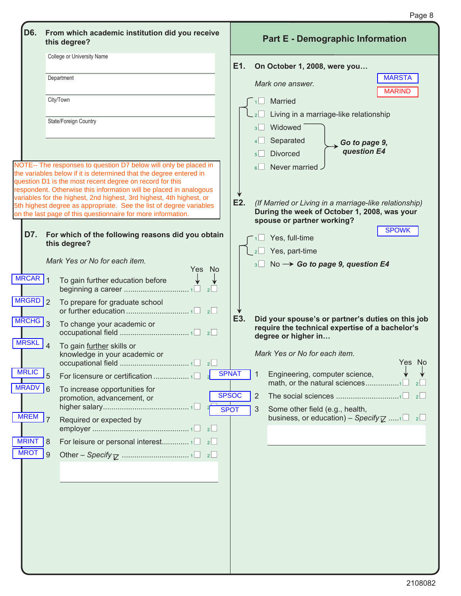| D6.                  | From which academic institution did you receive<br>this degree?                                                                                                                                                                                                                                                                                  | <b>Part E - Demographic Information</b>                                                                                                     |
|----------------------|--------------------------------------------------------------------------------------------------------------------------------------------------------------------------------------------------------------------------------------------------------------------------------------------------------------------------------------------------|---------------------------------------------------------------------------------------------------------------------------------------------|
|                      | College or University Name                                                                                                                                                                                                                                                                                                                       | E1.<br>On October 1, 2008, were you                                                                                                         |
|                      | Department                                                                                                                                                                                                                                                                                                                                       | <b>MARSTA</b><br>Mark one answer.<br><b>MARIND</b>                                                                                          |
|                      | City/Town                                                                                                                                                                                                                                                                                                                                        | Married<br>Living in a marriage-like relationship                                                                                           |
|                      | State/Foreign Country                                                                                                                                                                                                                                                                                                                            | Widowed<br>3 <sup>1</sup><br>Separated<br>4 <sup>1</sup><br>$\rightarrow$ Go to page 9,<br>question E4<br><b>Divorced</b>                   |
|                      | NOTE-- The responses to question D7 below will only be placed in<br>the variables below if it is determined that the degree entered in<br>question D1 is the most recent degree on record for this<br>respondent. Otherwise this information will be placed in analogous<br>variables for the highest, 2nd highest, 3rd highest, 4th highest, or | Never married.<br>6 <sup>1</sup>                                                                                                            |
|                      | 5th highest degree as appropriate. See the list of degree variables<br>on the last page of this questionnaire for more information.                                                                                                                                                                                                              | E2.<br>(If Married or Living in a marriage-like relationship)<br>During the week of October 1, 2008, was your<br>spouse or partner working? |
| D7.                  | For which of the following reasons did you obtain<br>this degree?                                                                                                                                                                                                                                                                                | <b>SPOWK</b><br>Yes, full-time                                                                                                              |
|                      |                                                                                                                                                                                                                                                                                                                                                  | Yes, part-time                                                                                                                              |
|                      | Mark Yes or No for each item.<br>Yes No                                                                                                                                                                                                                                                                                                          | $3 \Box$ No $\rightarrow$ Go to page 9, question E4                                                                                         |
| $MRCAR$ 1            | To gain further education before                                                                                                                                                                                                                                                                                                                 |                                                                                                                                             |
| MRGRD 2              | To prepare for graduate school                                                                                                                                                                                                                                                                                                                   |                                                                                                                                             |
| $MRCHG$ <sub>3</sub> | To change your academic or                                                                                                                                                                                                                                                                                                                       | E3.<br>Did your spouse's or partner's duties on this job<br>require the technical expertise of a bachelor's<br>degree or higher in          |
| <b>MRSKL</b>         | $\overline{4}$<br>To gain further skills or<br>knowledge in your academic or                                                                                                                                                                                                                                                                     | Mark Yes or No for each item.<br>Yes No                                                                                                     |
| <b>MRLIC</b>         | 5                                                                                                                                                                                                                                                                                                                                                | <b>SPNAT</b><br>Engineering, computer science,<br>-1<br>2                                                                                   |
| <b>MRADV</b>         | $\overline{6}$<br>To increase opportunities for<br>promotion, advancement, or                                                                                                                                                                                                                                                                    | <b>SPSOC</b><br>2<br>2                                                                                                                      |
| $MREM$   $7$         | Required or expected by<br>2                                                                                                                                                                                                                                                                                                                     | <b>SPOT</b><br>3<br>Some other field (e.g., health,<br>business, or education) – Specify $\overline{Z}$ 1 2                                 |
| <b>MRINT</b>         | For leisure or personal interest1<br> 8<br>2                                                                                                                                                                                                                                                                                                     |                                                                                                                                             |
| <b>MROT</b>          | <b>9</b>                                                                                                                                                                                                                                                                                                                                         |                                                                                                                                             |
|                      |                                                                                                                                                                                                                                                                                                                                                  |                                                                                                                                             |

Page 8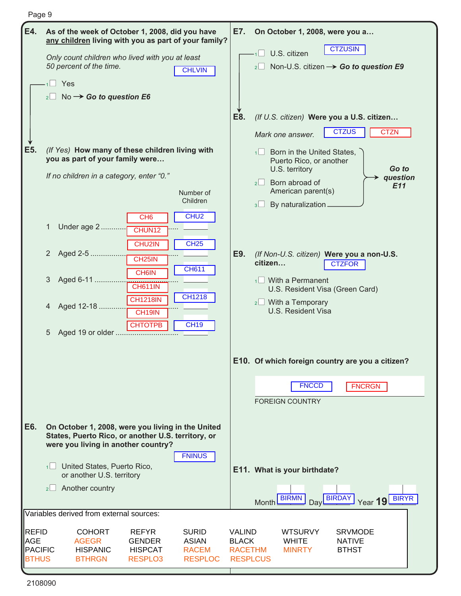|--|--|

| E4.                 | As of the week of October 1, 2008, did you have<br>any children living with you as part of your family? | E7.                           | On October 1, 2008, were you a                                    |
|---------------------|---------------------------------------------------------------------------------------------------------|-------------------------------|-------------------------------------------------------------------|
|                     | Only count children who lived with you at least<br>50 percent of the time.                              |                               | <b>CTZUSIN</b><br>U.S. citizen                                    |
|                     | <b>CHLVIN</b><br>$1 \square$ Yes                                                                        |                               | 2 Non-U.S. citizen $\rightarrow$ Go to question E9                |
|                     | $_2\Box$ No $\rightarrow$ Go to question E6                                                             |                               |                                                                   |
|                     |                                                                                                         |                               |                                                                   |
|                     |                                                                                                         | E8.                           | (If U.S. citizen) Were you a U.S. citizen                         |
|                     |                                                                                                         |                               | <b>CTZUS</b><br><b>CTZN</b><br>Mark one answer.                   |
| E5.                 | (If Yes) How many of these children living with<br>you as part of your family were                      |                               | $\sqrt{1}$ Born in the United States,<br>Puerto Rico, or another  |
|                     | If no children in a category, enter "0."                                                                |                               | Go to<br>U.S. territory<br>question                               |
|                     | Number of                                                                                               |                               | $2 \Box$ Born abroad of<br>E11<br>American parent(s)              |
|                     | Children                                                                                                |                               | By naturalization _<br>$3 \Box$                                   |
|                     | CHU <sub>2</sub><br>CH <sub>6</sub><br>Under age 2<br>1                                                 |                               |                                                                   |
|                     | CHUN12<br>CHU2IN<br><b>CH25</b>                                                                         |                               |                                                                   |
|                     | Aged 2-5<br>$\mathbf{2}^{\prime}$<br>CH <sub>25</sub> IN                                                | E9.                           | (If Non-U.S. citizen) Were you a non-U.S.                         |
|                     | <b>CH611</b><br><b>CH6IN</b>                                                                            |                               | citizen<br><b>CTZFOR</b>                                          |
|                     | Aged 6-11<br>3<br><b>CH611IN</b>                                                                        |                               | $\frac{1}{1}$ With a Permanent<br>U.S. Resident Visa (Green Card) |
|                     | <b>CH1218</b><br><b>CH1218IN</b><br>Aged 12-18<br>4                                                     |                               | $2 \Box$ With a Temporary                                         |
|                     | CH <sub>19</sub> IN<br><b>CH19</b>                                                                      |                               | U.S. Resident Visa                                                |
|                     | <b>CHTOTPB</b><br>5                                                                                     |                               |                                                                   |
|                     |                                                                                                         |                               |                                                                   |
|                     |                                                                                                         |                               | E10. Of which foreign country are you a citizen?                  |
|                     |                                                                                                         |                               | <b>FNCCD</b><br><b>FNCRGN</b>                                     |
|                     |                                                                                                         |                               | <b>FOREIGN COUNTRY</b>                                            |
|                     |                                                                                                         |                               |                                                                   |
| E6.                 | On October 1, 2008, were you living in the United<br>States, Puerto Rico, or another U.S. territory, or |                               |                                                                   |
|                     | were you living in another country?<br><b>FNINUS</b>                                                    |                               |                                                                   |
|                     | 1 United States, Puerto Rico,                                                                           |                               | E11. What is your birthdate?                                      |
|                     | or another U.S. territory<br>$2 \Box$ Another country                                                   |                               |                                                                   |
|                     |                                                                                                         |                               | Day BIRDAY<br><b>BIRMN</b><br>Year 19 BIRYR<br>Month L            |
|                     | Variables derived from external sources:                                                                |                               |                                                                   |
| REFID<br><b>AGE</b> | <b>COHORT</b><br><b>REFYR</b><br><b>SURID</b><br><b>ASIAN</b>                                           | <b>VALIND</b><br><b>BLACK</b> | <b>WTSURVY</b><br><b>SRVMODE</b><br><b>WHITE</b><br><b>NATIVE</b> |
| <b>PACIFIC</b>      | <b>AGEGR</b><br><b>GENDER</b><br><b>HISPANIC</b><br><b>HISPCAT</b><br><b>RACEM</b>                      | <b>RACETHM</b>                | <b>BTHST</b><br><b>MINRTY</b>                                     |
| <b>BTHUS</b>        | <b>BTHRGN</b><br>RESPLO3<br><b>RESPLOC</b>                                                              | <b>RESPLCUS</b>               |                                                                   |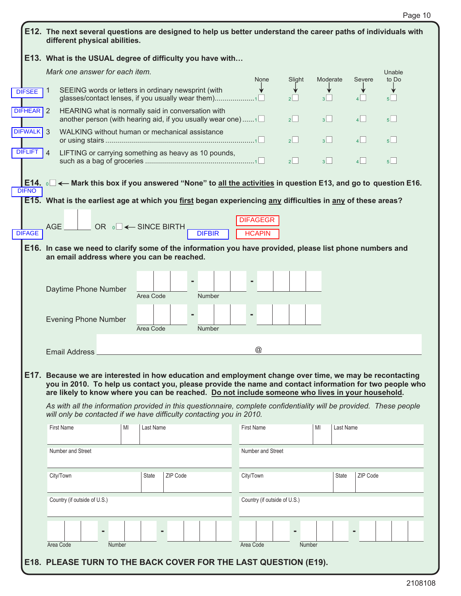|                | E12. The next several questions are designed to help us better understand the career paths of individuals with<br>different physical abilities.                                                                                                                                                                                                                                                                                               |                                        |                                                                      |               |                              |        |                 |          |                 |
|----------------|-----------------------------------------------------------------------------------------------------------------------------------------------------------------------------------------------------------------------------------------------------------------------------------------------------------------------------------------------------------------------------------------------------------------------------------------------|----------------------------------------|----------------------------------------------------------------------|---------------|------------------------------|--------|-----------------|----------|-----------------|
|                | E13. What is the USUAL degree of difficulty you have with                                                                                                                                                                                                                                                                                                                                                                                     |                                        |                                                                      |               |                              |        |                 |          |                 |
|                | Mark one answer for each item.                                                                                                                                                                                                                                                                                                                                                                                                                |                                        |                                                                      |               | None                         | Slight | Moderate        | Severe   | Unable<br>to Do |
| <b>DIFSEE</b>  | SEEING words or letters in ordinary newsprint (with<br>$\mathbf{1}$<br>glasses/contact lenses, if you usually wear them)                                                                                                                                                                                                                                                                                                                      |                                        |                                                                      |               |                              | 2      | 3               | $\vert$  | 5 <sup>1</sup>  |
| DIFHEAR 2      | HEARING what is normally said in conversation with<br>another person (with hearing aid, if you usually wear one)                                                                                                                                                                                                                                                                                                                              |                                        |                                                                      |               |                              | $2$    | 3               | $\vert$  | 5 <sup>1</sup>  |
| DIFWALK 3      | WALKING without human or mechanical assistance                                                                                                                                                                                                                                                                                                                                                                                                |                                        |                                                                      |               |                              | $2$    | 3               | 4        | 5               |
| <b>DIFLIFT</b> | LIFTING or carrying something as heavy as 10 pounds,<br>$\vert$ 4                                                                                                                                                                                                                                                                                                                                                                             |                                        |                                                                      |               |                              | 2      | $3\Box$         | 4        | 5 <sup>1</sup>  |
|                | E14. $\circ$ $\Box$ $\leftarrow$ Mark this box if you answered "None" to all the activities in question E13, and go to question E16.                                                                                                                                                                                                                                                                                                          |                                        |                                                                      |               |                              |        |                 |          |                 |
| <b>DIFNO</b>   | E15. What is the earliest age at which you first began experiencing any difficulties in any of these areas?                                                                                                                                                                                                                                                                                                                                   |                                        |                                                                      |               |                              |        |                 |          |                 |
|                | <b>AGE</b>                                                                                                                                                                                                                                                                                                                                                                                                                                    | OR $\circ \Box \leftarrow$ SINCE BIRTH |                                                                      |               | <b>DIFAGEGR</b>              |        |                 |          |                 |
| <b>DIFAGE</b>  |                                                                                                                                                                                                                                                                                                                                                                                                                                               |                                        |                                                                      | <b>DIFBIR</b> | <b>HCAPIN</b>                |        |                 |          |                 |
|                | E16. In case we need to clarify some of the information you have provided, please list phone numbers and<br>an email address where you can be reached.                                                                                                                                                                                                                                                                                        |                                        |                                                                      |               |                              |        |                 |          |                 |
|                | Daytime Phone Number                                                                                                                                                                                                                                                                                                                                                                                                                          | Area Code                              |                                                                      | <b>Number</b> |                              |        |                 |          |                 |
|                | <b>Evening Phone Number</b>                                                                                                                                                                                                                                                                                                                                                                                                                   | Area Code                              |                                                                      | <b>Number</b> |                              |        |                 |          |                 |
|                | <b>Email Address</b>                                                                                                                                                                                                                                                                                                                                                                                                                          |                                        |                                                                      |               | $^\copyright$                |        |                 |          |                 |
|                | E17. Because we are interested in how education and employment change over time, we may be recontacting<br>you in 2010. To help us contact you, please provide the name and contact information for two people who<br>are likely to know where you can be reached. Do not include someone who lives in your household.<br>As with all the information provided in this questionnaire, complete confidentiality will be provided. These people |                                        | will only be contacted if we have difficulty contacting you in 2010. |               |                              |        |                 |          |                 |
|                |                                                                                                                                                                                                                                                                                                                                                                                                                                               |                                        |                                                                      |               |                              |        |                 |          |                 |
|                | <b>First Name</b>                                                                                                                                                                                                                                                                                                                                                                                                                             | Last Name<br>MI                        |                                                                      |               | <b>First Name</b>            |        | MI<br>Last Name |          |                 |
|                | Number and Street                                                                                                                                                                                                                                                                                                                                                                                                                             |                                        |                                                                      |               | Number and Street            |        |                 |          |                 |
|                | City/Town                                                                                                                                                                                                                                                                                                                                                                                                                                     | State                                  | ZIP Code                                                             |               | City/Town                    |        | <b>State</b>    | ZIP Code |                 |
|                | Country (if outside of U.S.)                                                                                                                                                                                                                                                                                                                                                                                                                  |                                        |                                                                      |               | Country (if outside of U.S.) |        |                 |          |                 |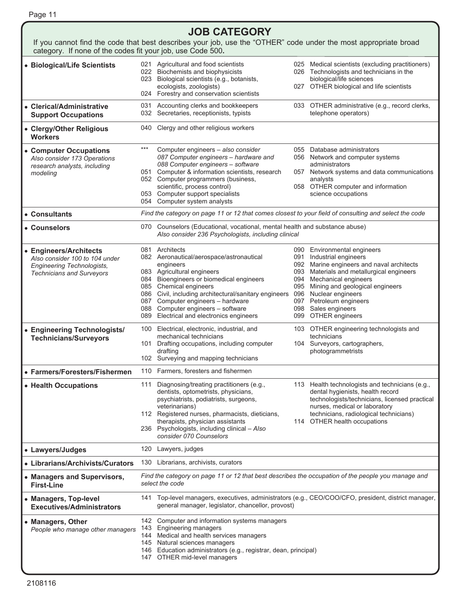#### **JOB CATEGORY**

| category. If none of the codes fit your job, use Code 500.                                                                        |                                                                                                                       | If you cannot find the code that best describes your job, use the "OTHER" code under the most appropriate broad                                                                                                                                                                                                                                            |                   |                                                                                                                                                                                                                                                                                                            |  |  |
|-----------------------------------------------------------------------------------------------------------------------------------|-----------------------------------------------------------------------------------------------------------------------|------------------------------------------------------------------------------------------------------------------------------------------------------------------------------------------------------------------------------------------------------------------------------------------------------------------------------------------------------------|-------------------|------------------------------------------------------------------------------------------------------------------------------------------------------------------------------------------------------------------------------------------------------------------------------------------------------------|--|--|
| • Biological/Life Scientists                                                                                                      |                                                                                                                       | 021 Agricultural and food scientists<br>022 Biochemists and biophysicists<br>023 Biological scientists (e.g., botanists,<br>ecologists, zoologists)<br>024 Forestry and conservation scientists                                                                                                                                                            |                   | 025 Medical scientists (excluding practitioners)<br>026 Technologists and technicians in the<br>biological/life sciences<br>027 OTHER biological and life scientists                                                                                                                                       |  |  |
| • Clerical/Administrative<br><b>Support Occupations</b>                                                                           | 031                                                                                                                   | Accounting clerks and bookkeepers<br>032 Secretaries, receptionists, typists                                                                                                                                                                                                                                                                               |                   | 033 OTHER administrative (e.g., record clerks,<br>telephone operators)                                                                                                                                                                                                                                     |  |  |
| • Clergy/Other Religious<br><b>Workers</b>                                                                                        | 040                                                                                                                   | Clergy and other religious workers                                                                                                                                                                                                                                                                                                                         |                   |                                                                                                                                                                                                                                                                                                            |  |  |
| • Computer Occupations<br>Also consider 173 Operations<br>research analysts, including<br>modeling                                | $***$                                                                                                                 | Computer engineers - also consider<br>087 Computer engineers - hardware and<br>088 Computer engineers - software<br>051 Computer & information scientists, research<br>052 Computer programmers (business,<br>scientific, process control)<br>053 Computer support specialists<br>054 Computer system analysts                                             | 057               | 055 Database administrators<br>056 Network and computer systems<br>administrators<br>Network systems and data communications<br>analysts<br>058 OTHER computer and information<br>science occupations                                                                                                      |  |  |
| • Consultants                                                                                                                     |                                                                                                                       | Find the category on page 11 or 12 that comes closest to your field of consulting and select the code                                                                                                                                                                                                                                                      |                   |                                                                                                                                                                                                                                                                                                            |  |  |
| • Counselors                                                                                                                      | 070                                                                                                                   | Counselors (Educational, vocational, mental health and substance abuse)<br>Also consider 236 Psychologists, including clinical                                                                                                                                                                                                                             |                   |                                                                                                                                                                                                                                                                                                            |  |  |
| • Engineers/Architects<br>Also consider 100 to 104 under<br><b>Engineering Technologists,</b><br><b>Technicians and Surveyors</b> |                                                                                                                       | 081 Architects<br>082 Aeronautical/aerospace/astronautical<br>engineers<br>083 Agricultural engineers<br>084 Bioengineers or biomedical engineers<br>085 Chemical engineers<br>086 Civil, including architectural/sanitary engineers<br>087 Computer engineers - hardware<br>088 Computer engineers - software<br>089 Electrical and electronics engineers | 091<br>095<br>096 | 090 Environmental engineers<br>Industrial engineers<br>092 Marine engineers and naval architects<br>093 Materials and metallurgical engineers<br>094 Mechanical engineers<br>Mining and geological engineers<br>Nuclear engineers<br>097 Petroleum engineers<br>098 Sales engineers<br>099 OTHER engineers |  |  |
| • Engineering Technologists/<br><b>Technicians/Surveyors</b>                                                                      | 101                                                                                                                   | 100 Electrical, electronic, industrial, and<br>mechanical technicians<br>Drafting occupations, including computer<br>drafting<br>102 Surveying and mapping technicians                                                                                                                                                                                     |                   | 103 OTHER engineering technologists and<br>technicians<br>104 Surveyors, cartographers,<br>photogrammetrists                                                                                                                                                                                               |  |  |
| • Farmers/Foresters/Fishermen                                                                                                     |                                                                                                                       | 110 Farmers, foresters and fishermen                                                                                                                                                                                                                                                                                                                       |                   |                                                                                                                                                                                                                                                                                                            |  |  |
| • Health Occupations                                                                                                              |                                                                                                                       | 111 Diagnosing/treating practitioners (e.g.,<br>dentists, optometrists, physicians,<br>psychiatrists, podiatrists, surgeons,<br>veterinarians)<br>112 Registered nurses, pharmacists, dieticians,<br>therapists, physician assistants<br>236 Psychologists, including clinical - Also<br>consider 070 Counselors                                           |                   | 113 Health technologists and technicians (e.g.,<br>dental hygienists, health record<br>technologists/technicians, licensed practical<br>nurses, medical or laboratory<br>technicians, radiological technicians)<br>114 OTHER health occupations                                                            |  |  |
| • Lawyers/Judges                                                                                                                  | 120                                                                                                                   | Lawyers, judges                                                                                                                                                                                                                                                                                                                                            |                   |                                                                                                                                                                                                                                                                                                            |  |  |
| • Librarians/Archivists/Curators                                                                                                  | 130                                                                                                                   | Librarians, archivists, curators                                                                                                                                                                                                                                                                                                                           |                   |                                                                                                                                                                                                                                                                                                            |  |  |
| • Managers and Supervisors,<br><b>First-Line</b>                                                                                  | Find the category on page 11 or 12 that best describes the occupation of the people you manage and<br>select the code |                                                                                                                                                                                                                                                                                                                                                            |                   |                                                                                                                                                                                                                                                                                                            |  |  |
| • Managers, Top-level<br><b>Executives/Administrators</b>                                                                         | 141                                                                                                                   | Top-level managers, executives, administrators (e.g., CEO/COO/CFO, president, district manager,<br>general manager, legislator, chancellor, provost)                                                                                                                                                                                                       |                   |                                                                                                                                                                                                                                                                                                            |  |  |
| • Managers, Other<br>People who manage other managers                                                                             |                                                                                                                       | 142 Computer and information systems managers<br>143 Engineering managers<br>144 Medical and health services managers<br>145 Natural sciences managers<br>146 Education administrators (e.g., registrar, dean, principal)<br>147 OTHER mid-level managers                                                                                                  |                   |                                                                                                                                                                                                                                                                                                            |  |  |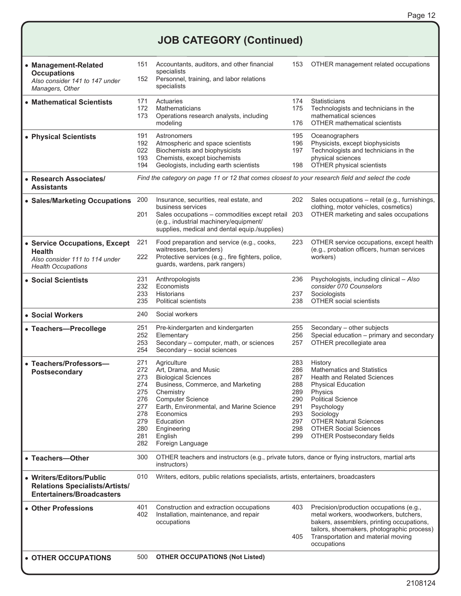## **JOB CATEGORY (Continued)**

| • Management-Related<br><b>Occupations</b><br>Also consider 141 to 147 under<br>Managers, Other               | 151<br>152                                                                                       | Accountants, auditors, and other financial<br>specialists<br>Personnel, training, and labor relations<br>specialists                                                                                                                                                |                                                                           | OTHER management related occupations                                                                                                                                                                                                                                                    |  |  |
|---------------------------------------------------------------------------------------------------------------|--------------------------------------------------------------------------------------------------|---------------------------------------------------------------------------------------------------------------------------------------------------------------------------------------------------------------------------------------------------------------------|---------------------------------------------------------------------------|-----------------------------------------------------------------------------------------------------------------------------------------------------------------------------------------------------------------------------------------------------------------------------------------|--|--|
| • Mathematical Scientists                                                                                     | 171<br>172<br>173                                                                                | Actuaries<br>Mathematicians<br>Operations research analysts, including<br>modeling                                                                                                                                                                                  | 174<br>175<br>176                                                         | Statisticians<br>Technologists and technicians in the<br>mathematical sciences<br><b>OTHER mathematical scientists</b>                                                                                                                                                                  |  |  |
| • Physical Scientists                                                                                         | 191<br>192<br>022<br>193<br>194                                                                  | Astronomers<br>Atmospheric and space scientists<br>Biochemists and biophysicists<br>Chemists, except biochemists<br>Geologists, including earth scientists                                                                                                          | 195<br>196<br>197<br>198                                                  | Oceanographers<br>Physicists, except biophysicists<br>Technologists and technicians in the<br>physical sciences<br>OTHER physical scientists                                                                                                                                            |  |  |
| • Research Associates/<br><b>Assistants</b>                                                                   | Find the category on page 11 or 12 that comes closest to your research field and select the code |                                                                                                                                                                                                                                                                     |                                                                           |                                                                                                                                                                                                                                                                                         |  |  |
| • Sales/Marketing Occupations                                                                                 | 200<br>201                                                                                       | Insurance, securities, real estate, and<br>business services<br>Sales occupations - commodities except retail 203<br>(e.g., industrial machinery/equipment/<br>supplies, medical and dental equip./supplies)                                                        | 202                                                                       | Sales occupations - retail (e.g., furnishings,<br>clothing, motor vehicles, cosmetics)<br>OTHER marketing and sales occupations                                                                                                                                                         |  |  |
| • Service Occupations, Except<br><b>Health</b><br>Also consider 111 to 114 under<br><b>Health Occupations</b> | 221<br>222                                                                                       | Food preparation and service (e.g., cooks,<br>waitresses, bartenders)<br>Protective services (e.g., fire fighters, police,<br>guards, wardens, park rangers)                                                                                                        | 223                                                                       | OTHER service occupations, except health<br>(e.g., probation officers, human services<br>workers)                                                                                                                                                                                       |  |  |
| • Social Scientists                                                                                           | 231<br>232<br>233<br>235                                                                         | Anthropologists<br>Economists<br><b>Historians</b><br><b>Political scientists</b>                                                                                                                                                                                   | 236<br>237<br>238                                                         | Psychologists, including clinical - Also<br>consider 070 Counselors<br>Sociologists<br><b>OTHER social scientists</b>                                                                                                                                                                   |  |  |
| • Social Workers                                                                                              | 240                                                                                              | Social workers                                                                                                                                                                                                                                                      |                                                                           |                                                                                                                                                                                                                                                                                         |  |  |
| • Teachers-Precollege                                                                                         | 251<br>252<br>253<br>254                                                                         | Pre-kindergarten and kindergarten<br>Elementary<br>Secondary - computer, math, or sciences<br>Secondary - social sciences                                                                                                                                           | 255<br>256<br>257                                                         | Secondary - other subjects<br>Special education - primary and secondary<br>OTHER precollegiate area                                                                                                                                                                                     |  |  |
| • Teachers/Professors-<br><b>Postsecondary</b>                                                                | 271<br>272<br>273<br>274<br>275<br>276<br>277<br>278<br>279<br>280<br>281<br>282                 | Agriculture<br>Art, Drama, and Music<br><b>Biological Sciences</b><br>Business, Commerce, and Marketing<br>Chemistry<br><b>Computer Science</b><br>Earth, Environmental, and Marine Science<br>Economics<br>Education<br>Engineering<br>English<br>Foreign Language | 283<br>286<br>287<br>288<br>289<br>290<br>291<br>293<br>297<br>298<br>299 | History<br><b>Mathematics and Statistics</b><br><b>Health and Related Sciences</b><br><b>Physical Education</b><br>Physics<br><b>Political Science</b><br>Psychology<br>Sociology<br><b>OTHER Natural Sciences</b><br><b>OTHER Social Sciences</b><br><b>OTHER Postsecondary fields</b> |  |  |
| • Teachers-Other                                                                                              | 300                                                                                              | OTHER teachers and instructors (e.g., private tutors, dance or flying instructors, martial arts<br>instructors)                                                                                                                                                     |                                                                           |                                                                                                                                                                                                                                                                                         |  |  |
| • Writers/Editors/Public<br><b>Relations Specialists/Artists/</b><br><b>Entertainers/Broadcasters</b>         | 010                                                                                              | Writers, editors, public relations specialists, artists, entertainers, broadcasters                                                                                                                                                                                 |                                                                           |                                                                                                                                                                                                                                                                                         |  |  |
| • Other Professions                                                                                           | 401<br>402                                                                                       | Construction and extraction occupations<br>Installation, maintenance, and repair<br>occupations                                                                                                                                                                     |                                                                           | Precision/production occupations (e.g.,<br>metal workers, woodworkers, butchers,<br>bakers, assemblers, printing occupations,<br>tailors, shoemakers, photographic process)<br>Transportation and material moving<br>occupations                                                        |  |  |
| • OTHER OCCUPATIONS                                                                                           | 500                                                                                              | <b>OTHER OCCUPATIONS (Not Listed)</b>                                                                                                                                                                                                                               |                                                                           |                                                                                                                                                                                                                                                                                         |  |  |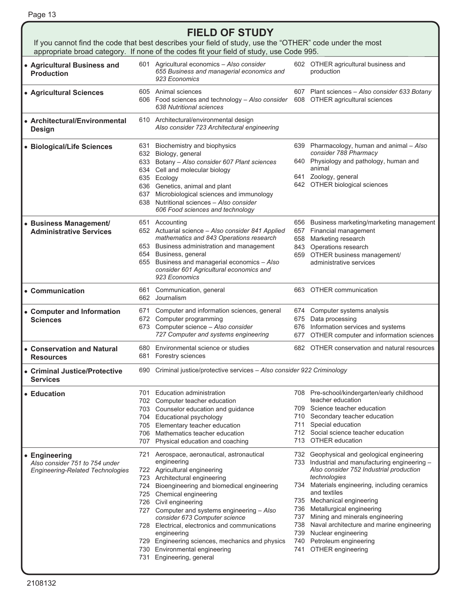| <b>FIELD OF STUDY</b>                                                                      |                                        |                                                                                                                                                                                                                                                                                                                                                                                                                                                                           |                            |                                                                                                                                                                                                                                                                                                                                                                                                                                                  |  |  |
|--------------------------------------------------------------------------------------------|----------------------------------------|---------------------------------------------------------------------------------------------------------------------------------------------------------------------------------------------------------------------------------------------------------------------------------------------------------------------------------------------------------------------------------------------------------------------------------------------------------------------------|----------------------------|--------------------------------------------------------------------------------------------------------------------------------------------------------------------------------------------------------------------------------------------------------------------------------------------------------------------------------------------------------------------------------------------------------------------------------------------------|--|--|
|                                                                                            |                                        | If you cannot find the code that best describes your field of study, use the "OTHER" code under the most<br>appropriate broad category. If none of the codes fit your field of study, use Code 995.                                                                                                                                                                                                                                                                       |                            |                                                                                                                                                                                                                                                                                                                                                                                                                                                  |  |  |
| • Agricultural Business and<br><b>Production</b>                                           |                                        | 601 Agricultural economics - Also consider<br>655 Business and managerial economics and<br>923 Economics                                                                                                                                                                                                                                                                                                                                                                  |                            | 602 OTHER agricultural business and<br>production                                                                                                                                                                                                                                                                                                                                                                                                |  |  |
| • Agricultural Sciences                                                                    |                                        | 605 Animal sciences<br>606 Food sciences and technology - Also consider<br>638 Nutritional sciences                                                                                                                                                                                                                                                                                                                                                                       |                            | 607 Plant sciences - Also consider 633 Botany<br>608 OTHER agricultural sciences                                                                                                                                                                                                                                                                                                                                                                 |  |  |
| • Architectural/Environmental<br><b>Design</b>                                             |                                        | 610 Architectural/environmental design<br>Also consider 723 Architectural engineering                                                                                                                                                                                                                                                                                                                                                                                     |                            |                                                                                                                                                                                                                                                                                                                                                                                                                                                  |  |  |
| • Biological/Life Sciences                                                                 | 632<br>634<br>637                      | 631 Biochemistry and biophysics<br>Biology, general<br>633 Botany - Also consider 607 Plant sciences<br>animal<br>Cell and molecular biology<br>635 Ecology<br>636 Genetics, animal and plant<br>Microbiological sciences and immunology<br>638 Nutritional sciences - Also consider<br>606 Food sciences and technology                                                                                                                                                  |                            | 639 Pharmacology, human and animal - Also<br>consider 788 Pharmacy<br>640 Physiology and pathology, human and<br>641 Zoology, general<br>642 OTHER biological sciences                                                                                                                                                                                                                                                                           |  |  |
| • Business Management/<br><b>Administrative Services</b>                                   |                                        | 651 Accounting<br>652 Actuarial science - Also consider 841 Applied<br>mathematics and 843 Operations research<br>653 Business administration and management<br>654 Business, general<br>655 Business and managerial economics - Also<br>consider 601 Agricultural economics and<br>923 Economics                                                                                                                                                                         |                            | 656 Business marketing/marketing management<br>657 Financial management<br>658 Marketing research<br>843 Operations research<br>659 OTHER business management/<br>administrative services                                                                                                                                                                                                                                                        |  |  |
| • Communication                                                                            | 661                                    | Communication, general<br>662 Journalism                                                                                                                                                                                                                                                                                                                                                                                                                                  |                            | 663 OTHER communication                                                                                                                                                                                                                                                                                                                                                                                                                          |  |  |
| • Computer and Information<br><b>Sciences</b>                                              | 671<br>672<br>673                      | Computer and information sciences, general<br>Computer programming<br>Computer science - Also consider<br>727 Computer and systems engineering                                                                                                                                                                                                                                                                                                                            | 675<br>677                 | 674 Computer systems analysis<br>Data processing<br>676 Information services and systems<br>OTHER computer and information sciences                                                                                                                                                                                                                                                                                                              |  |  |
| • Conservation and Natural<br><b>Resources</b>                                             | 680                                    | Environmental science or studies<br>681 Forestry sciences                                                                                                                                                                                                                                                                                                                                                                                                                 |                            | 682 OTHER conservation and natural resources                                                                                                                                                                                                                                                                                                                                                                                                     |  |  |
| • Criminal Justice/Protective<br><b>Services</b>                                           | 690                                    | Criminal justice/protective services - Also consider 922 Criminology                                                                                                                                                                                                                                                                                                                                                                                                      |                            |                                                                                                                                                                                                                                                                                                                                                                                                                                                  |  |  |
| • Education                                                                                | 701<br>705<br>706<br>707               | Education administration<br>702 Computer teacher education<br>703 Counselor education and guidance<br>704 Educational psychology<br>Elementary teacher education<br>Mathematics teacher education<br>Physical education and coaching                                                                                                                                                                                                                                      | 711                        | 708 Pre-school/kindergarten/early childhood<br>teacher education<br>709 Science teacher education<br>710 Secondary teacher education<br>Special education<br>712 Social science teacher education<br>713 OTHER education                                                                                                                                                                                                                         |  |  |
| • Engineering<br>Also consider 751 to 754 under<br><b>Engineering-Related Technologies</b> | 721<br>724<br>725<br>726<br>730<br>731 | Aerospace, aeronautical, astronautical<br>engineering<br>722 Agricultural engineering<br>723 Architectural engineering<br>Bioengineering and biomedical engineering<br>Chemical engineering<br>Civil engineering<br>727 Computer and systems engineering - Also<br>consider 673 Computer science<br>728 Electrical, electronics and communications<br>engineering<br>729 Engineering sciences, mechanics and physics<br>Environmental engineering<br>Engineering, general | 736 -<br>737<br>738<br>741 | 732 Geophysical and geological engineering<br>733 Industrial and manufacturing engineering -<br>Also consider 752 Industrial production<br>technologies<br>734 Materials engineering, including ceramics<br>and textiles<br>735 Mechanical engineering<br>Metallurgical engineering<br>Mining and minerals engineering<br>Naval architecture and marine engineering<br>739 Nuclear engineering<br>740 Petroleum engineering<br>OTHER engineering |  |  |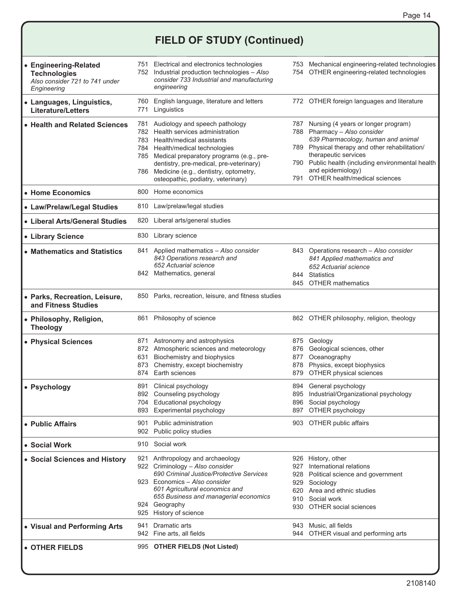## **FIELD OF STUDY (Continued)**

| • Engineering-Related<br><b>Technologies</b><br>Also consider 721 to 741 under<br>Engineering |                                                                                                                                                  | 751 Electrical and electronics technologies<br>752 Industrial production technologies - Also<br>consider 733 Industrial and manufacturing<br>engineering                                                                                                                                                           |                                 | 753 Mechanical engineering-related technologies<br>754 OTHER engineering-related technologies                                                                                                                                                                                                  |
|-----------------------------------------------------------------------------------------------|--------------------------------------------------------------------------------------------------------------------------------------------------|--------------------------------------------------------------------------------------------------------------------------------------------------------------------------------------------------------------------------------------------------------------------------------------------------------------------|---------------------------------|------------------------------------------------------------------------------------------------------------------------------------------------------------------------------------------------------------------------------------------------------------------------------------------------|
| • Languages, Linguistics,<br><b>Literature/Letters</b>                                        | 760<br>771                                                                                                                                       | English language, literature and letters<br>Linguistics                                                                                                                                                                                                                                                            |                                 | 772 OTHER foreign languages and literature                                                                                                                                                                                                                                                     |
| • Health and Related Sciences                                                                 | 781<br>782                                                                                                                                       | Audiology and speech pathology<br>Health services administration<br>783 Health/medical assistants<br>784 Health/medical technologies<br>785 Medical preparatory programs (e.g., pre-<br>dentistry, pre-medical, pre-veterinary)<br>786 Medicine (e.g., dentistry, optometry,<br>osteopathic, podiatry, veterinary) | 789<br>791                      | 787 Nursing (4 years or longer program)<br>788 Pharmacy - Also consider<br>639 Pharmacology, human and animal<br>Physical therapy and other rehabilitation/<br>therapeutic services<br>790 Public health (including environmental health<br>and epidemiology)<br>OTHER health/medical sciences |
| • Home Economics                                                                              | 800                                                                                                                                              | Home economics                                                                                                                                                                                                                                                                                                     |                                 |                                                                                                                                                                                                                                                                                                |
| • Law/Prelaw/Legal Studies                                                                    | 810                                                                                                                                              | Law/prelaw/legal studies                                                                                                                                                                                                                                                                                           |                                 |                                                                                                                                                                                                                                                                                                |
| • Liberal Arts/General Studies                                                                | 820                                                                                                                                              | Liberal arts/general studies                                                                                                                                                                                                                                                                                       |                                 |                                                                                                                                                                                                                                                                                                |
| • Library Science                                                                             | 830                                                                                                                                              | Library science                                                                                                                                                                                                                                                                                                    |                                 |                                                                                                                                                                                                                                                                                                |
| • Mathematics and Statistics                                                                  | 841<br>Applied mathematics - Also consider<br>843 Operations research and<br>652 Actuarial science<br>842 Mathematics, general<br>844 Statistics |                                                                                                                                                                                                                                                                                                                    |                                 | 843 Operations research - Also consider<br>841 Applied mathematics and<br>652 Actuarial science<br>845 OTHER mathematics                                                                                                                                                                       |
| • Parks, Recreation, Leisure,<br>and Fitness Studies                                          | 850                                                                                                                                              | Parks, recreation, leisure, and fitness studies                                                                                                                                                                                                                                                                    |                                 |                                                                                                                                                                                                                                                                                                |
| • Philosophy, Religion,<br><b>Theology</b>                                                    | 861                                                                                                                                              | Philosophy of science                                                                                                                                                                                                                                                                                              |                                 | 862 OTHER philosophy, religion, theology                                                                                                                                                                                                                                                       |
| • Physical Sciences                                                                           | 631<br>873<br>874                                                                                                                                | 871 Astronomy and astrophysics<br>872 Atmospheric sciences and meteorology<br>Biochemistry and biophysics<br>Chemistry, except biochemistry<br>Earth sciences                                                                                                                                                      | 875<br>876<br>877<br>878<br>879 | Geology<br>Geological sciences, other<br>Oceanography<br>Physics, except biophysics<br>OTHER physical sciences                                                                                                                                                                                 |
| • Psychology                                                                                  | 891                                                                                                                                              | Clinical psychology<br>892 Counseling psychology<br>704 Educational psychology<br>893 Experimental psychology                                                                                                                                                                                                      | 894                             | General psychology<br>895 Industrial/Organizational psychology<br>896 Social psychology<br>897 OTHER psychology                                                                                                                                                                                |
| • Public Affairs                                                                              |                                                                                                                                                  | 901 Public administration<br>902 Public policy studies                                                                                                                                                                                                                                                             |                                 | 903 OTHER public affairs                                                                                                                                                                                                                                                                       |
| • Social Work                                                                                 |                                                                                                                                                  | 910 Social work                                                                                                                                                                                                                                                                                                    |                                 |                                                                                                                                                                                                                                                                                                |
| • Social Sciences and History                                                                 |                                                                                                                                                  | 921 Anthropology and archaeology<br>922 Criminology - Also consider<br>690 Criminal Justice/Protective Services<br>923 Economics - Also consider<br>601 Agricultural economics and<br>655 Business and managerial economics<br>924 Geography<br>925 History of science                                             | 927                             | 926 History, other<br>International relations<br>928 Political science and government<br>929 Sociology<br>620 Area and ethnic studies<br>910 Social work<br>930 OTHER social sciences                                                                                                          |
| • Visual and Performing Arts                                                                  | 941                                                                                                                                              | Dramatic arts<br>942 Fine arts, all fields                                                                                                                                                                                                                                                                         |                                 | 943 Music, all fields<br>944 OTHER visual and performing arts                                                                                                                                                                                                                                  |
| • OTHER FIELDS                                                                                |                                                                                                                                                  | 995 OTHER FIELDS (Not Listed)                                                                                                                                                                                                                                                                                      |                                 |                                                                                                                                                                                                                                                                                                |